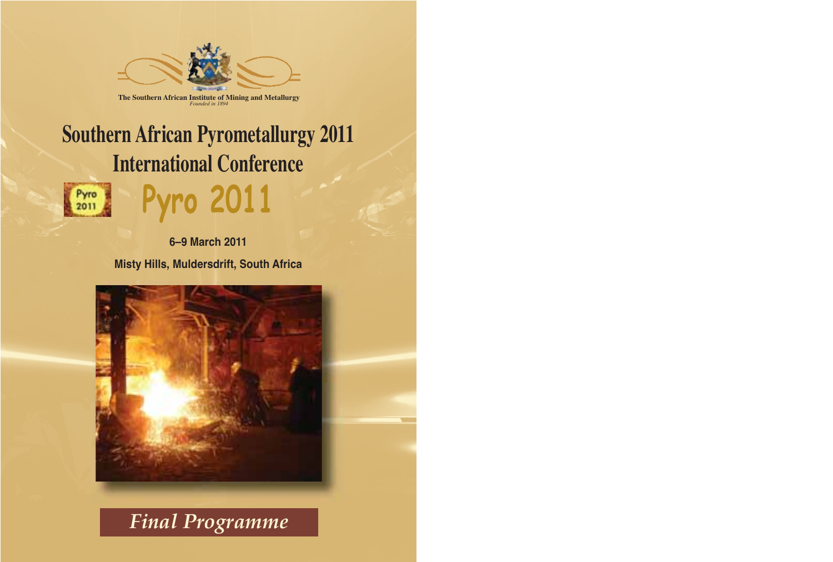

# **Southern African Pyrometallurgy 2011 International Conference**

Pyro

**6–9 March 2011 Misty Hills, Muldersdrift, South Africa**

**Pyro 2011**



*Final Programme*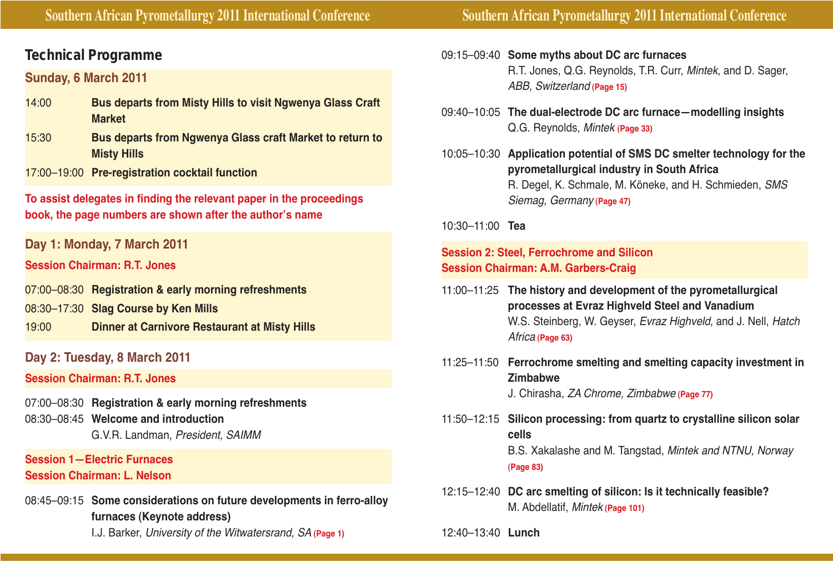# **Technical Programme**

# **Sunday, 6 March 2011**

- 14:00 **Bus departs from Misty Hills to visit Ngwenya Glass Craft Market**
- 15:30 **Bus departs from Ngwenya Glass craft Market to return to Misty Hills**
- 17:00–19:00 **Pre-registration cocktail function**

**To assist delegates in finding the relevant paper in the proceedings book, the page numbers are shown after the author's name**

**Day 1: Monday, 7 March 2011**

**Session Chairman: R.T. Jones**

- 07:00–08:30 **Registration & early morning refreshments**
- 08:30–17:30 **Slag Course by Ken Mills**
- 19:00 **Dinner at Carnivore Restaurant at Misty Hills**
- **Day 2: Tuesday, 8 March 2011**

**Session Chairman: R.T. Jones**

07:00–08:30 **Registration & early morning refreshments** 08:30–08:45 **Welcome and introduction** G.V.R. Landman, President, SAIMM

### **Session 1—Electric Furnaces Session Chairman: L. Nelson**

- 08:45–09:15 **Some considerations on future developments in ferro-alloy furnaces (Keynote address)**
	- I.J. Barker, University of the Witwatersrand, SA **(Page 1)**
- 09:15–09:40 **Some myths about DC arc furnaces** R.T. Jones, Q.G. Reynolds, T.R. Curr, Mintek, and D. Sager, ABB, Switzerland **(Page 15)**
- 09:40–10:05 **The dual-electrode DC arc furnace—modelling insights** Q.G. Reynolds, Mintek **(Page 33)**
- 10:05–10:30 **Application potential of SMS DC smelter technology for the pyrometallurgical industry in South Africa** R. Degel, K. Schmale, M. Köneke, and H. Schmieden, SMS Siemag, Germany **(Page 47)**

10:30–11:00 **Tea**

## **Session 2: Steel, Ferrochrome and Silicon Session Chairman: A.M. Garbers-Craig**

- 11:00–11:25 **The history and development of the pyrometallurgical processes at Evraz Highveld Steel and Vanadium** W.S. Steinberg, W. Geyser, Evraz Highveld, and J. Nell, Hatch Africa **(Page 63)**
- 11:25–11:50 **Ferrochrome smelting and smelting capacity investment in Zimbabwe** J. Chirasha, ZA Chrome, Zimbabwe **(Page 77)**
- 11:50–12:15 **Silicon processing: from quartz to crystalline silicon solar cells** B.S. Xakalashe and M. Tangstad, Mintek and NTNU, Norway **(Page 83)**
- 12:15–12:40 **DC arc smelting of silicon: Is it technically feasible?** M. Abdellatif, Mintek **(Page 101)**

12:40–13:40 **Lunch**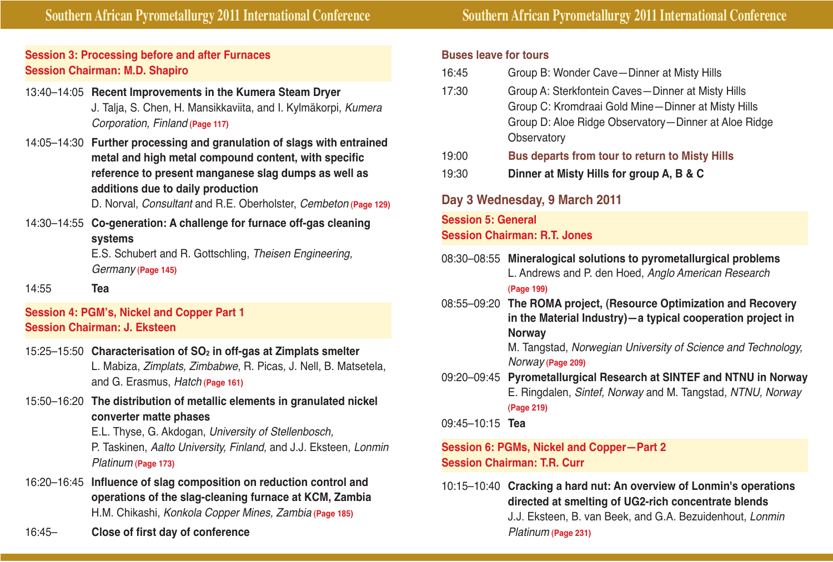**Southern African Pyrometallurgy 2011 International Conference Southern African Pyrometallurgy 2011 International Conference**

# **Session 3: Processing before and after Furnaces Session Chairman: M.D. Shapiro**

# 13:40–14:05 **Recent Improvements in the Kumera Steam Dryer** J. Talja, S. Chen, H. Mansikkaviita, and I. Kylmäkorpi, Kumera Corporation, Finland **(Page 117)**

14:05–14:30 **Further processing and granulation of slags with entrained metal and high metal compound content, with specific reference to present manganese slag dumps as well as additions due to daily production**

D. Norval, Consultant and R.E. Oberholster, Cembeton **(Page 129)**

14:30–14:55 **Co-generation: A challenge for furnace off-gas cleaning systems**

E.S. Schubert and R. Gottschling, Theisen Engineering, Germany **(Page 145)**

14:55 **Tea** 

# **Session 4: PGM's, Nickel and Copper Part 1 Session Chairman: J. Eksteen**

- 15:25–15:50 **Characterisation of SO2 in off-gas at Zimplats smelter** L. Mabiza, Zimplats, Zimbabwe, R. Picas, J. Nell, B. Matsetela, and G. Erasmus, Hatch **(Page 161)**
- 15:50–16:20 **The distribution of metallic elements in granulated nickel converter matte phases**

E.L. Thyse, G. Akdogan, University of Stellenbosch, P. Taskinen, Aalto University, Finland, and J.J. Eksteen, Lonmin Platinum **(Page 173)**

- 16:20–16:45 **Influence of slag composition on reduction control and operations of the slag-cleaning furnace at KCM, Zambia** H.M. Chikashi, Konkola Copper Mines, Zambia **(Page 185)**
- 16:45– **Close of first day of conference**

#### **Buses leave for tours**

- 16:45 Group B: Wonder Cave—Dinner at Misty Hills
- 17:30 Group A: Sterkfontein Caves—Dinner at Misty Hills Group C: Kromdraai Gold Mine—Dinner at Misty Hills Group D: Aloe Ridge Observatory—Dinner at Aloe Ridge **Observatory**
- 19:00 **Bus departs from tour to return to Misty Hills**
- 19:30 **Dinner at Misty Hills for group A, B & C**

# **Day 3 Wednesday, 9 March 2011**

**Session 5: General Session Chairman: R.T. Jones**

08:30–08:55 **Mineralogical solutions to pyrometallurgical problems** L. Andrews and P. den Hoed, Anglo American Research

**(Page 199)**

08:55–09:20 **The ROMA project, (Resource Optimization and Recovery in the Material Industry)—a typical cooperation project in Norway**

M. Tangstad, Norwegian University of Science and Technology, Norway **(Page 209)**

09:20–09:45 **Pyrometallurgical Research at SINTEF and NTNU in Norway** E. Ringdalen, Sintef, Norway and M. Tangstad, NTNU, Norway **(Page 219)**

09:45–10:15 **Tea** 

## **Session 6: PGMs, Nickel and Copper—Part 2 Session Chairman: T.R. Curr**

10:15–10:40 **Cracking a hard nut: An overview of Lonmin's operations directed at smelting of UG2-rich concentrate blends** J.J. Eksteen, B. van Beek, and G.A. Bezuidenhout, Lonmin Platinum **(Page 231)**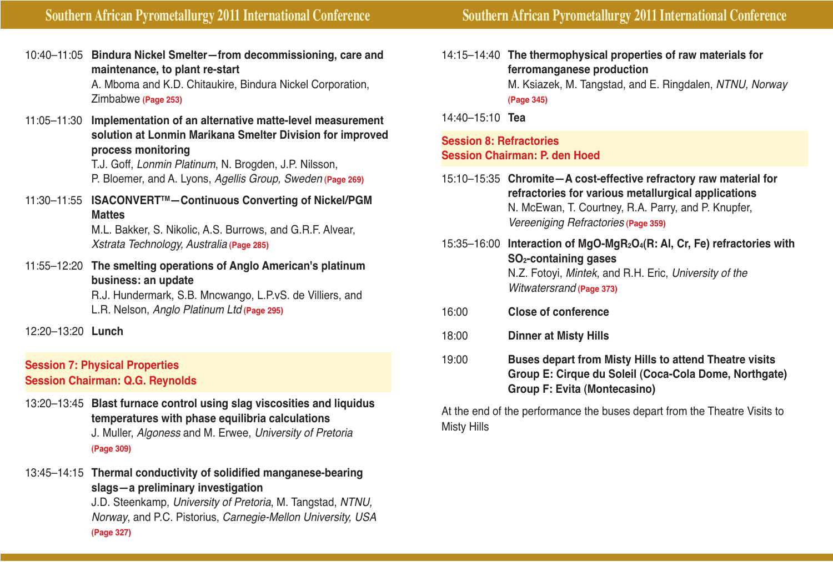10:40–11:05 **Bindura Nickel Smelter—from decommissioning, care and maintenance, to plant re-start**

> A. Mboma and K.D. Chitaukire, Bindura Nickel Corporation, Zimbabwe **(Page 253)**

11:05–11:30 **Implementation of an alternative matte-level measurement solution at Lonmin Marikana Smelter Division for improved process monitoring**

> T.J. Goff, Lonmin Platinum, N. Brogden, J.P. Nilsson, P. Bloemer, and A. Lyons, Agellis Group, Sweden **(Page 269)**

11:30–11:55 **ISACONVERTTM—Continuous Converting of Nickel/PGM Mattes**

> M.L. Bakker, S. Nikolic, A.S. Burrows, and G.R.F. Alvear, Xstrata Technology, Australia **(Page 285)**

11:55–12:20 **The smelting operations of Anglo American's platinum business: an update** R.J. Hundermark, S.B. Mncwango, L.P.vS. de Villiers, and

L.R. Nelson, Anglo Platinum Ltd **(Page 295)**

12:20–13:20 **Lunch**

#### **Session 7: Physical Properties Session Chairman: Q.G. Reynolds**

- 13:20–13:45 **Blast furnace control using slag viscosities and liquidus temperatures with phase equilibria calculations** J. Muller, Algoness and M. Erwee, University of Pretoria **(Page 309)**
- 13:45–14:15 **Thermal conductivity of solidified manganese-bearing slags—a preliminary investigation**

J.D. Steenkamp, University of Pretoria, M. Tangstad, NTNU, Norway, and P.C. Pistorius, Carnegie-Mellon University, USA **(Page 327)**

14:15–14:40 **The thermophysical properties of raw materials for ferromanganese production** M. Ksiazek, M. Tangstad, and E. Ringdalen, NTNU, Norway **(Page 345)**

14:40–15:10 **Tea**

#### **Session 8: Refractories Session Chairman: P. den Hoed**

- 15:10–15:35 **Chromite—A cost-effective refractory raw material for refractories for various metallurgical applications** N. McEwan, T. Courtney, R.A. Parry, and P. Knupfer, Vereeniging Refractories **(Page 359)**
- 15:35–16:00 **Interaction of MgO-MgR2O4(R: Al, Cr, Fe) refractories with SO2-containing gases** N.Z. Fotoyi, Mintek, and R.H. Eric, University of the Witwatersrand **(Page 373)**
- 16:00 **Close of conference**
- 18:00 **Dinner at Misty Hills**
- 19:00 **Buses depart from Misty Hills to attend Theatre visits Group E: Cirque du Soleil (Coca-Cola Dome, Northgate) Group F: Evita (Montecasino)**

At the end of the performance the buses depart from the Theatre Visits to Misty Hills